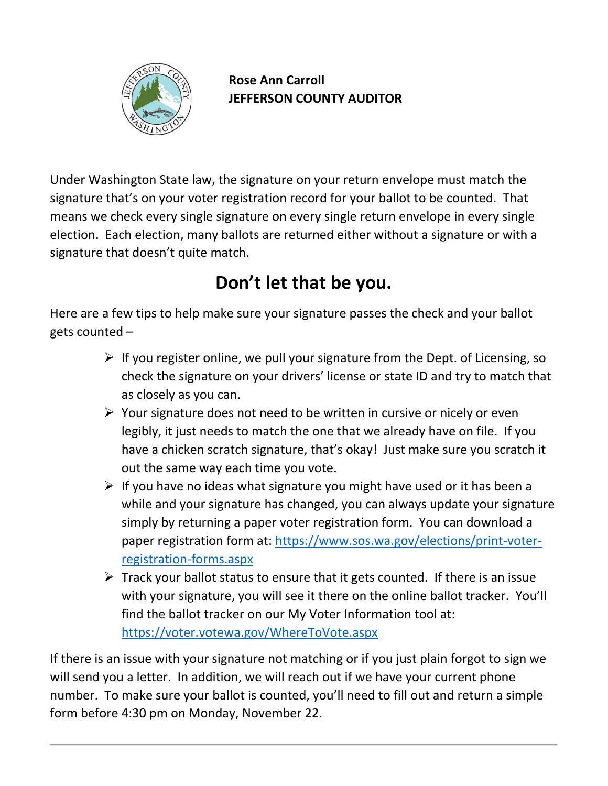

**Rose Ann Carroll JEFFERSON COUNTY AUDITOR**

Under Washington State law, the signature on your return envelope must match the signature that's on your voter registration record for your ballot to be counted. That means we check every single signature on every single return envelope in every single election. Each election, many ballots are returned either without a signature or with a signature that doesn't quite match.

## **Don't let that be you.**

Here are a few tips to help make sure your signature passes the check and your ballot gets counted –

- $\triangleright$  If you register online, we pull your signature from the Dept. of Licensing, so check the signature on your drivers' license or state ID and try to match that as closely as you can.
- $\triangleright$  Your signature does not need to be written in cursive or nicely or even legibly, it just needs to match the one that we already have on file. If you have a chicken scratch signature, that's okay! Just make sure you scratch it out the same way each time you vote.
- $\triangleright$  If you have no ideas what signature you might have used or it has been a while and your signature has changed, you can always update your signature simply by returning a paper voter registration form. You can download a paper registration form at: [https://www.sos.wa.gov/elections/print-voter](https://www.sos.wa.gov/elections/print-voter-registration-forms.aspx)[registration-forms.aspx](https://www.sos.wa.gov/elections/print-voter-registration-forms.aspx)
- $\triangleright$  Track your ballot status to ensure that it gets counted. If there is an issue with your signature, you will see it there on the online ballot tracker. You'll find the ballot tracker on our My Voter Information tool at: <https://voter.votewa.gov/WhereToVote.aspx>

If there is an issue with your signature not matching or if you just plain forgot to sign we will send you a letter. In addition, we will reach out if we have your current phone number. To make sure your ballot is counted, you'll need to fill out and return a simple form before 4:30 pm on Monday, November 22.